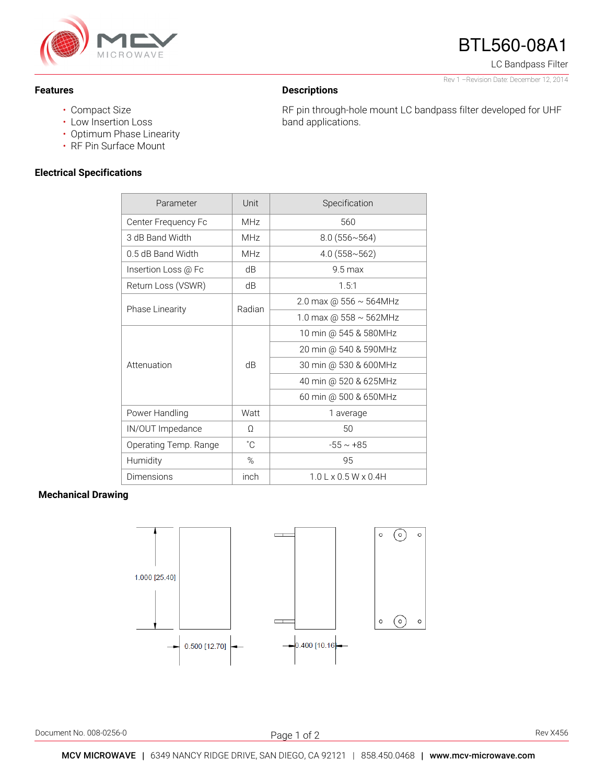

### **Features**

## **Descriptions**

band applications.

RF pin through-hole mount LC bandpass filter developed for UHF

Rev 1 –Revision Date: December 12, 2014

BTL560-08A1

LC Bandpass Filter

- Compact Size
- Low Insertion Loss
- Optimum Phase Linearity
- RF Pin Surface Mount

### **Electrical Specifications**

| Parameter              | Unit            | Specification                |
|------------------------|-----------------|------------------------------|
| Center Frequency Fc    | <b>MHz</b>      | 560                          |
| 3 dB Band Width        | MHz             | 8.0(556~564)                 |
| 0.5 dB Band Width      | MH <sub>7</sub> | $4.0(558 \times 562)$        |
| Insertion Loss @ Fc    | dB              | $9.5$ max                    |
| Return Loss (VSWR)     | dB              | 1.5:1                        |
| <b>Phase Linearity</b> | Radian          | 2.0 max @ $556 \sim 564$ MHz |
|                        |                 | 1.0 max @ $558 \sim 562$ MHz |
| Attenuation            | dB              | 10 min @ 545 & 580MHz        |
|                        |                 | 20 min @ 540 & 590MHz        |
|                        |                 | 30 min @ 530 & 600MHz        |
|                        |                 | 40 min @ 520 & 625MHz        |
|                        |                 | 60 min @ 500 & 650MHz        |
| Power Handling         | Watt            | 1 average                    |
| IN/OUT Impedance       | $\Omega$        | 50                           |
| Operating Temp. Range  | $^{\circ}$ C    | $-55 \sim +85$               |
| Humidity               | %               | 95                           |
| Dimensions             | inch            | $1.0$ L x 0.5 W x 0.4H       |

### **Mechanical Drawing**



Document No. 008-0256-0 Rev X456

j Page 1 of 2